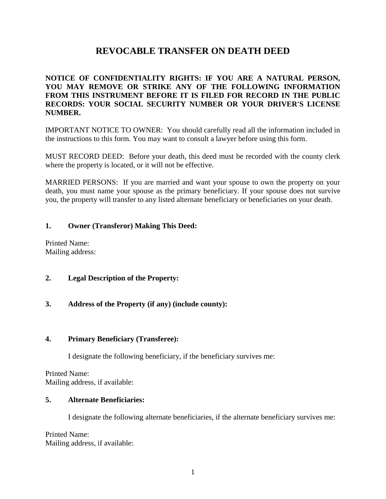# **REVOCABLE TRANSFER ON DEATH DEED**

## **NOTICE OF CONFIDENTIALITY RIGHTS: IF YOU ARE A NATURAL PERSON, YOU MAY REMOVE OR STRIKE ANY OF THE FOLLOWING INFORMATION FROM THIS INSTRUMENT BEFORE IT IS FILED FOR RECORD IN THE PUBLIC RECORDS: YOUR SOCIAL SECURITY NUMBER OR YOUR DRIVER'S LICENSE NUMBER.**

IMPORTANT NOTICE TO OWNER: You should carefully read all the information included in the instructions to this form. You may want to consult a lawyer before using this form.

MUST RECORD DEED: Before your death, this deed must be recorded with the county clerk where the property is located, or it will not be effective.

MARRIED PERSONS: If you are married and want your spouse to own the property on your death, you must name your spouse as the primary beneficiary. If your spouse does not survive you, the property will transfer to any listed alternate beneficiary or beneficiaries on your death.

## **1. Owner (Transferor) Making This Deed:**

Printed Name: Mailing address:

#### **2. Legal Description of the Property:**

# **3. Address of the Property (if any) (include county):**

#### **4. Primary Beneficiary (Transferee):**

I designate the following beneficiary, if the beneficiary survives me:

Printed Name: Mailing address, if available:

## **5. Alternate Beneficiaries:**

I designate the following alternate beneficiaries, if the alternate beneficiary survives me:

Printed Name: Mailing address, if available: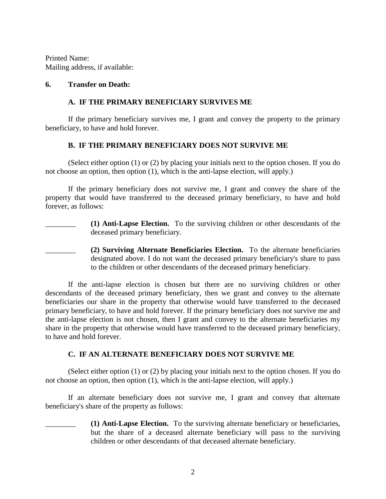Printed Name: Mailing address, if available:

#### **6. Transfer on Death:**

#### **A. IF THE PRIMARY BENEFICIARY SURVIVES ME**

If the primary beneficiary survives me, I grant and convey the property to the primary beneficiary, to have and hold forever.

#### **B. IF THE PRIMARY BENEFICIARY DOES NOT SURVIVE ME**

(Select either option (1) or (2) by placing your initials next to the option chosen. If you do not choose an option, then option (1), which is the anti-lapse election, will apply.)

If the primary beneficiary does not survive me, I grant and convey the share of the property that would have transferred to the deceased primary beneficiary, to have and hold forever, as follows:

- \_\_\_\_\_\_\_\_ **(1) Anti-Lapse Election.** To the surviving children or other descendants of the deceased primary beneficiary.
- \_\_\_\_\_\_\_\_ **(2) Surviving Alternate Beneficiaries Election.** To the alternate beneficiaries designated above. I do not want the deceased primary beneficiary's share to pass to the children or other descendants of the deceased primary beneficiary.

If the anti-lapse election is chosen but there are no surviving children or other descendants of the deceased primary beneficiary, then we grant and convey to the alternate beneficiaries our share in the property that otherwise would have transferred to the deceased primary beneficiary, to have and hold forever. If the primary beneficiary does not survive me and the anti-lapse election is not chosen, then I grant and convey to the alternate beneficiaries my share in the property that otherwise would have transferred to the deceased primary beneficiary, to have and hold forever.

#### **C. IF AN ALTERNATE BENEFICIARY DOES NOT SURVIVE ME**

(Select either option (1) or (2) by placing your initials next to the option chosen. If you do not choose an option, then option (1), which is the anti-lapse election, will apply.)

If an alternate beneficiary does not survive me, I grant and convey that alternate beneficiary's share of the property as follows:

> \_\_\_\_\_\_\_\_ **(1) Anti-Lapse Election.** To the surviving alternate beneficiary or beneficiaries, but the share of a deceased alternate beneficiary will pass to the surviving children or other descendants of that deceased alternate beneficiary.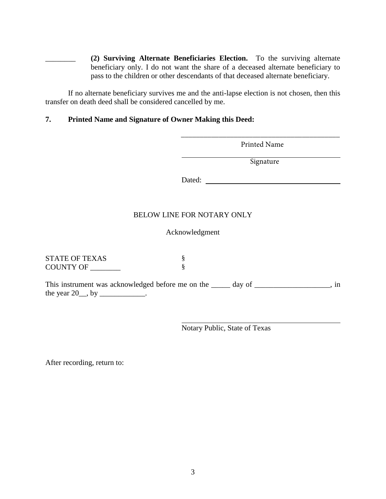\_\_\_\_\_\_\_\_ **(2) Surviving Alternate Beneficiaries Election.** To the surviving alternate beneficiary only. I do not want the share of a deceased alternate beneficiary to pass to the children or other descendants of that deceased alternate beneficiary.

If no alternate beneficiary survives me and the anti-lapse election is not chosen, then this transfer on death deed shall be considered cancelled by me.

# **7. Printed Name and Signature of Owner Making this Deed:**

|                                   | Printed Name                                                                     |        |
|-----------------------------------|----------------------------------------------------------------------------------|--------|
|                                   | Signature                                                                        |        |
|                                   |                                                                                  |        |
|                                   |                                                                                  |        |
|                                   | BELOW LINE FOR NOTARY ONLY                                                       |        |
|                                   | Acknowledgment                                                                   |        |
| <b>STATE OF TEXAS</b>             | §                                                                                |        |
|                                   | ş                                                                                |        |
| the year $20$ , by _____________. | This instrument was acknowledged before me on the _____ day of _________________ | $\sin$ |
| COUNTY OF ______                  |                                                                                  |        |

Notary Public, State of Texas

After recording, return to: